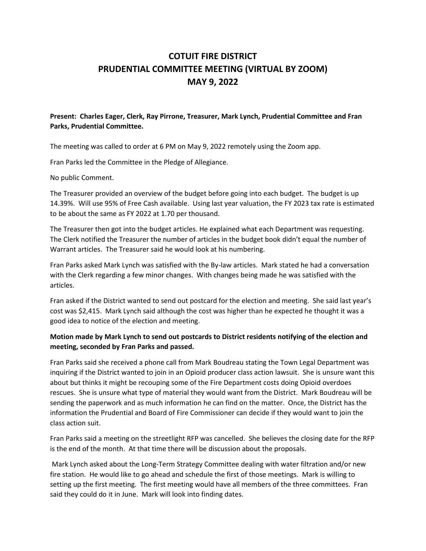## **COTUIT FIRE DISTRICT PRUDENTIAL COMMITTEE MEETING (VIRTUAL BY ZOOM) MAY 9, 2022**

## **Present: Charles Eager, Clerk, Ray Pirrone, Treasurer, Mark Lynch, Prudential Committee and Fran Parks, Prudential Committee.**

The meeting was called to order at 6 PM on May 9, 2022 remotely using the Zoom app.

Fran Parks led the Committee in the Pledge of Allegiance.

No public Comment.

The Treasurer provided an overview of the budget before going into each budget. The budget is up 14.39%. Will use 95% of Free Cash available. Using last year valuation, the FY 2023 tax rate is estimated to be about the same as FY 2022 at 1.70 per thousand.

The Treasurer then got into the budget articles. He explained what each Department was requesting. The Clerk notified the Treasurer the number of articles in the budget book didn't equal the number of Warrant articles. The Treasurer said he would look at his numbering.

Fran Parks asked Mark Lynch was satisfied with the By-law articles. Mark stated he had a conversation with the Clerk regarding a few minor changes. With changes being made he was satisfied with the articles.

Fran asked if the District wanted to send out postcard for the election and meeting. She said last year's cost was \$2,415. Mark Lynch said although the cost was higher than he expected he thought it was a good idea to notice of the election and meeting.

## **Motion made by Mark Lynch to send out postcards to District residents notifying of the election and meeting, seconded by Fran Parks and passed.**

Fran Parks said she received a phone call from Mark Boudreau stating the Town Legal Department was inquiring if the District wanted to join in an Opioid producer class action lawsuit. She is unsure want this about but thinks it might be recouping some of the Fire Department costs doing Opioid overdoes rescues. She is unsure what type of material they would want from the District. Mark Boudreau will be sending the paperwork and as much information he can find on the matter. Once, the District has the information the Prudential and Board of Fire Commissioner can decide if they would want to join the class action suit.

Fran Parks said a meeting on the streetlight RFP was cancelled. She believes the closing date for the RFP is the end of the month. At that time there will be discussion about the proposals.

Mark Lynch asked about the Long-Term Strategy Committee dealing with water filtration and/or new fire station. He would like to go ahead and schedule the first of those meetings. Mark is willing to setting up the first meeting. The first meeting would have all members of the three committees. Fran said they could do it in June. Mark will look into finding dates.